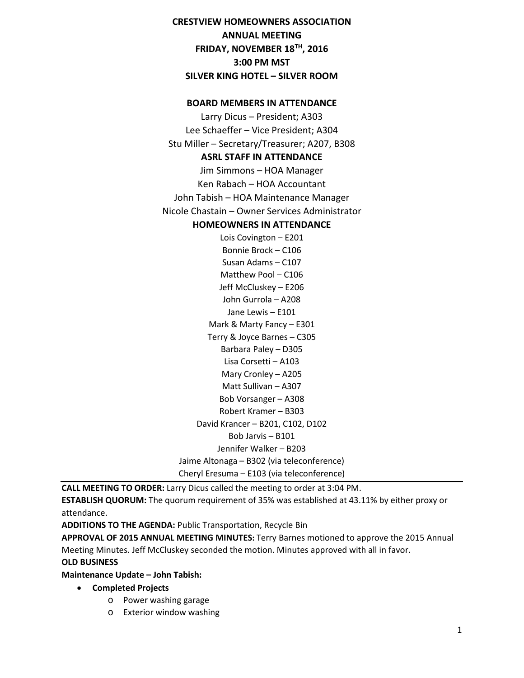# **CRESTVIEW HOMEOWNERS ASSOCIATION ANNUAL MEETING FRIDAY, NOVEMBER 18TH, 2016 3:00 PM MST SILVER KING HOTEL – SILVER ROOM**

### **BOARD MEMBERS IN ATTENDANCE**

Larry Dicus – President; A303 Lee Schaeffer – Vice President; A304 Stu Miller – Secretary/Treasurer; A207, B308 **ASRL STAFF IN ATTENDANCE** Jim Simmons – HOA Manager Ken Rabach – HOA Accountant John Tabish – HOA Maintenance Manager Nicole Chastain – Owner Services Administrator

## **HOMEOWNERS IN ATTENDANCE**

Lois Covington – E201 Bonnie Brock – C106 Susan Adams – C107 Matthew Pool – C106 Jeff McCluskey – E206 John Gurrola – A208 Jane Lewis – E101 Mark & Marty Fancy – E301 Terry & Joyce Barnes – C305 Barbara Paley – D305 Lisa Corsetti – A103 Mary Cronley – A205 Matt Sullivan – A307 Bob Vorsanger – A308 Robert Kramer – B303 David Krancer – B201, C102, D102 Bob Jarvis – B101 Jennifer Walker – B203 Jaime Altonaga – B302 (via teleconference) Cheryl Eresuma – E103 (via teleconference)

**CALL MEETING TO ORDER:** Larry Dicus called the meeting to order at 3:04 PM.

**ESTABLISH QUORUM:** The quorum requirement of 35% was established at 43.11% by either proxy or attendance.

**ADDITIONS TO THE AGENDA:** Public Transportation, Recycle Bin

**APPROVAL OF 2015 ANNUAL MEETING MINUTES:** Terry Barnes motioned to approve the 2015 Annual Meeting Minutes. Jeff McCluskey seconded the motion. Minutes approved with all in favor.

#### **OLD BUSINESS**

**Maintenance Update – John Tabish:**

- **Completed Projects**
	- o Power washing garage
	- o Exterior window washing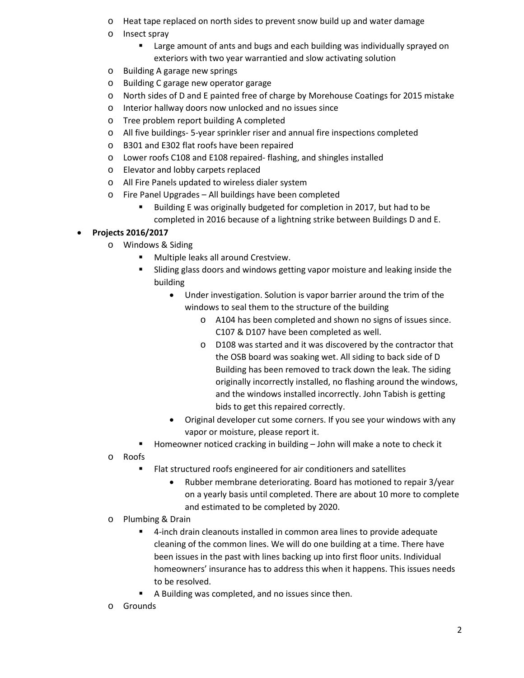- o Heat tape replaced on north sides to prevent snow build up and water damage
- o Insect spray
	- **EXTERGHTM** Large amount of ants and bugs and each building was individually sprayed on exteriors with two year warrantied and slow activating solution
- o Building A garage new springs
- o Building C garage new operator garage
- o North sides of D and E painted free of charge by Morehouse Coatings for 2015 mistake
- o Interior hallway doors now unlocked and no issues since
- o Tree problem report building A completed
- o All five buildings- 5-year sprinkler riser and annual fire inspections completed
- o B301 and E302 flat roofs have been repaired
- o Lower roofs C108 and E108 repaired- flashing, and shingles installed
- o Elevator and lobby carpets replaced
- o All Fire Panels updated to wireless dialer system
- o Fire Panel Upgrades All buildings have been completed
	- Building E was originally budgeted for completion in 2017, but had to be completed in 2016 because of a lightning strike between Buildings D and E.

# • **Projects 2016/2017**

- o Windows & Siding
	- Multiple leaks all around Crestview.
	- **Sliding glass doors and windows getting vapor moisture and leaking inside the** building
		- Under investigation. Solution is vapor barrier around the trim of the windows to seal them to the structure of the building
			- o A104 has been completed and shown no signs of issues since. C107 & D107 have been completed as well.
			- o D108 was started and it was discovered by the contractor that the OSB board was soaking wet. All siding to back side of D Building has been removed to track down the leak. The siding originally incorrectly installed, no flashing around the windows, and the windows installed incorrectly. John Tabish is getting bids to get this repaired correctly.
		- Original developer cut some corners. If you see your windows with any vapor or moisture, please report it.
	- Homeowner noticed cracking in building John will make a note to check it
- o Roofs
	- Flat structured roofs engineered for air conditioners and satellites
		- Rubber membrane deteriorating. Board has motioned to repair 3/year on a yearly basis until completed. There are about 10 more to complete and estimated to be completed by 2020.
- o Plumbing & Drain
	- 4-inch drain cleanouts installed in common area lines to provide adequate cleaning of the common lines. We will do one building at a time. There have been issues in the past with lines backing up into first floor units. Individual homeowners' insurance has to address this when it happens. This issues needs to be resolved.
	- A Building was completed, and no issues since then.
- o Grounds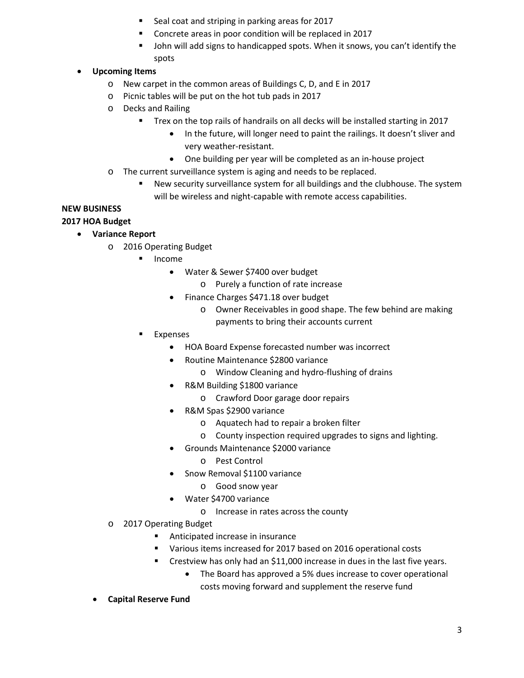- **Seal coat and striping in parking areas for 2017**
- Concrete areas in poor condition will be replaced in 2017
- **John will add signs to handicapped spots. When it snows, you can't identify the** spots

# • **Upcoming Items**

- o New carpet in the common areas of Buildings C, D, and E in 2017
- o Picnic tables will be put on the hot tub pads in 2017
- o Decks and Railing
	- Trex on the top rails of handrails on all decks will be installed starting in 2017
		- In the future, will longer need to paint the railings. It doesn't sliver and very weather-resistant.
		- One building per year will be completed as an in-house project
- o The current surveillance system is aging and needs to be replaced.
	- New security surveillance system for all buildings and the clubhouse. The system will be wireless and night-capable with remote access capabilities.

# **NEW BUSINESS**

# **2017 HOA Budget**

- **Variance Report** 
	- o 2016 Operating Budget
		- **Income** 
			- Water & Sewer \$7400 over budget
				- o Purely a function of rate increase
			- Finance Charges \$471.18 over budget
				- o Owner Receivables in good shape. The few behind are making payments to bring their accounts current
		- Expenses
			- HOA Board Expense forecasted number was incorrect
			- Routine Maintenance \$2800 variance
				- o Window Cleaning and hydro-flushing of drains
			- R&M Building \$1800 variance
				- o Crawford Door garage door repairs
			- R&M Spas \$2900 variance
				- o Aquatech had to repair a broken filter
				- o County inspection required upgrades to signs and lighting.
			- Grounds Maintenance \$2000 variance
				- o Pest Control
			- Snow Removal \$1100 variance
				- o Good snow year
			- Water \$4700 variance
				- o Increase in rates across the county
	- o 2017 Operating Budget
		- **Anticipated increase in insurance**
		- Various items increased for 2017 based on 2016 operational costs
		- Crestview has only had an \$11,000 increase in dues in the last five years.
			- The Board has approved a 5% dues increase to cover operational costs moving forward and supplement the reserve fund
	- **Capital Reserve Fund**